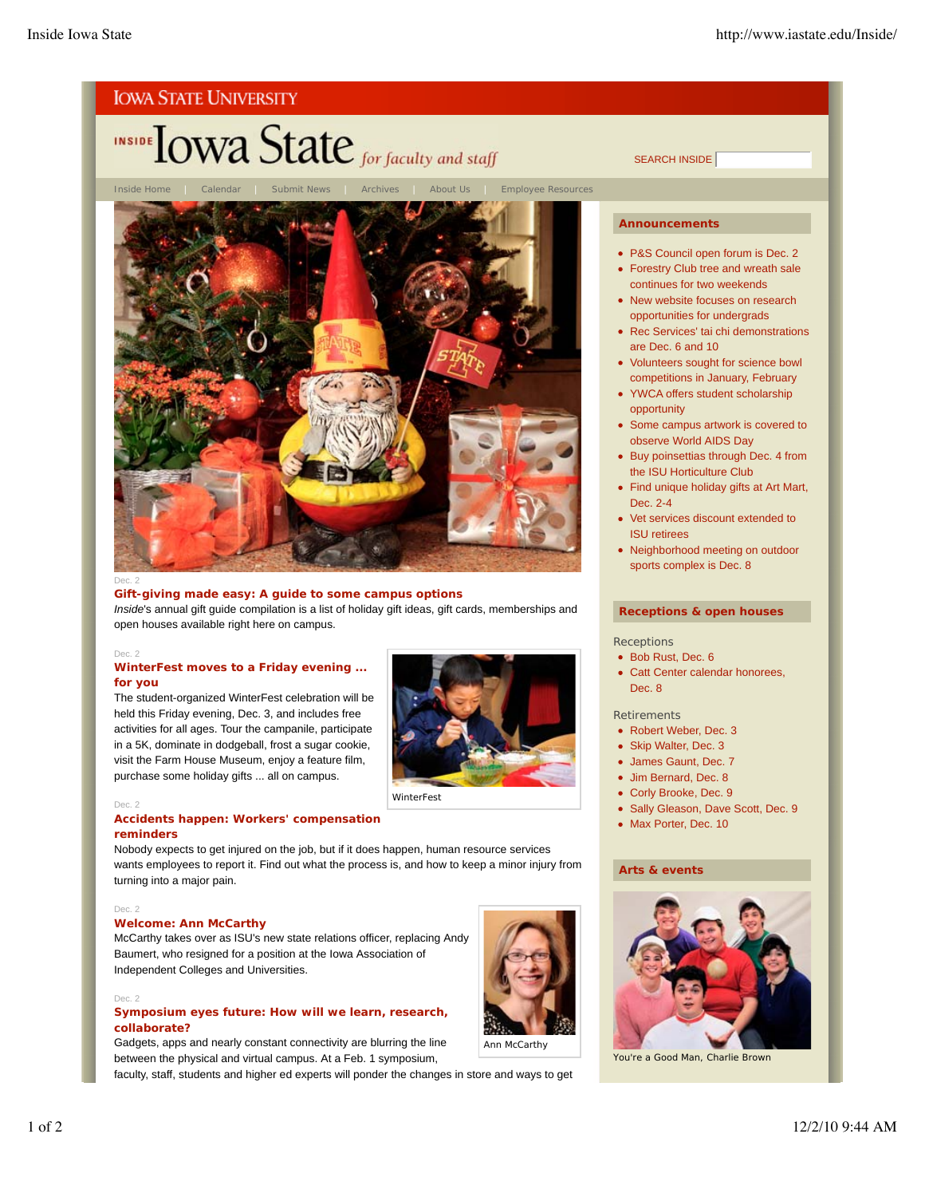

Ann McCarthy

Gadgets, apps and nearly constant connectivity are blurring the line between the physical and virtual campus. At a Feb. 1 symposium,

faculty, staff, students and higher ed experts will ponder the changes in store and ways to get

*You're a Good Man, Charlie Brown*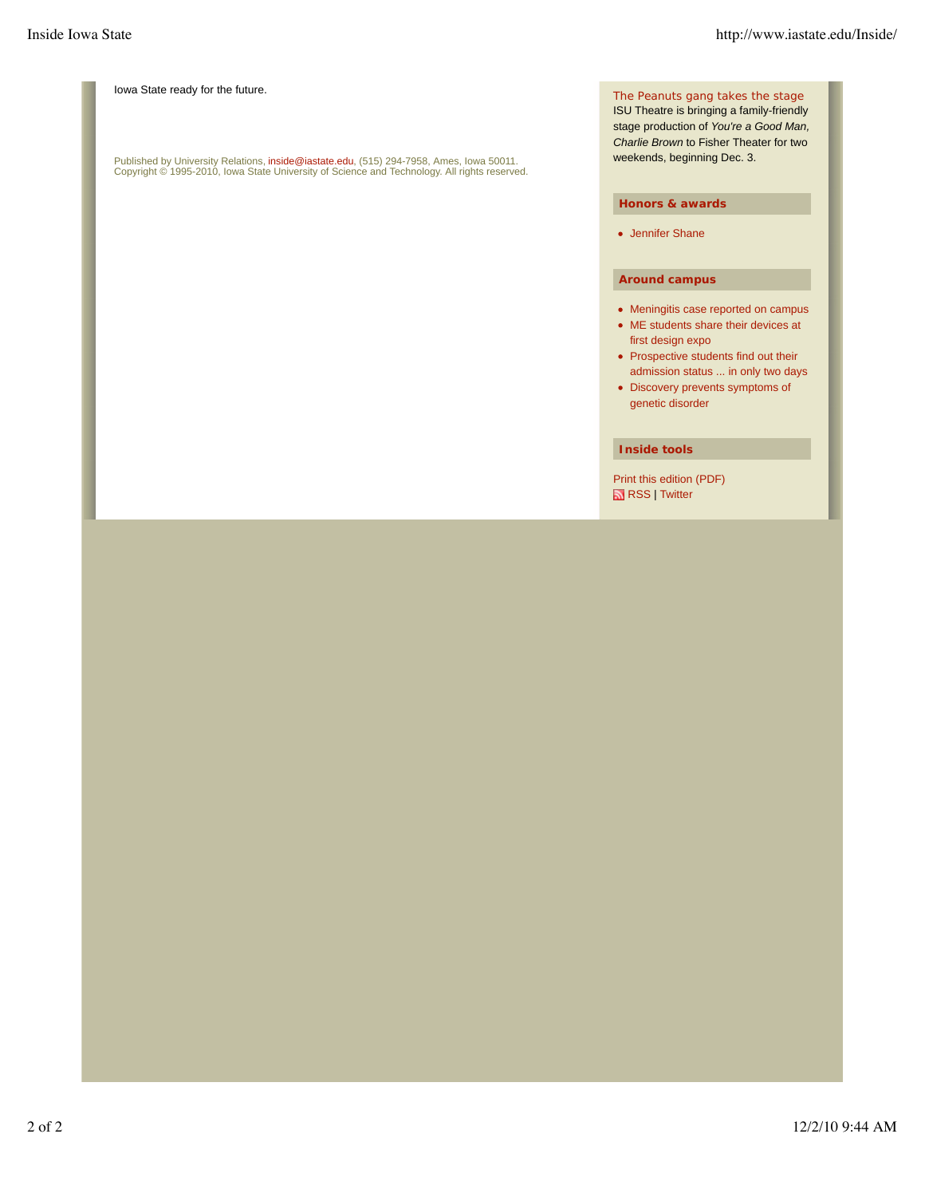Iowa State ready for the future.

Published by University Relations, i**nside@iastate.edu**, (515) 294-7958, Ames, Iowa 50011.<br>Copyright © 1995-2010, Iowa State University of Science and Technology. All rights reserved.

The *Peanuts* gang takes the stage

ISU Theatre is bringing a family-friendly stage production of *You're a Good Man, Charlie Brown* to Fisher Theater for two weekends, beginning Dec. 3.

#### **Honors & awards**

Jennifer Shane

#### **Around campus**

- Meningitis case reported on campus
- ME students share their devices at first design expo
- Prospective students find out their admission status ... in only two days
- Discovery prevents symptoms of genetic disorder

#### **Inside tools**

Print this edition (PDF) RSS | Twitter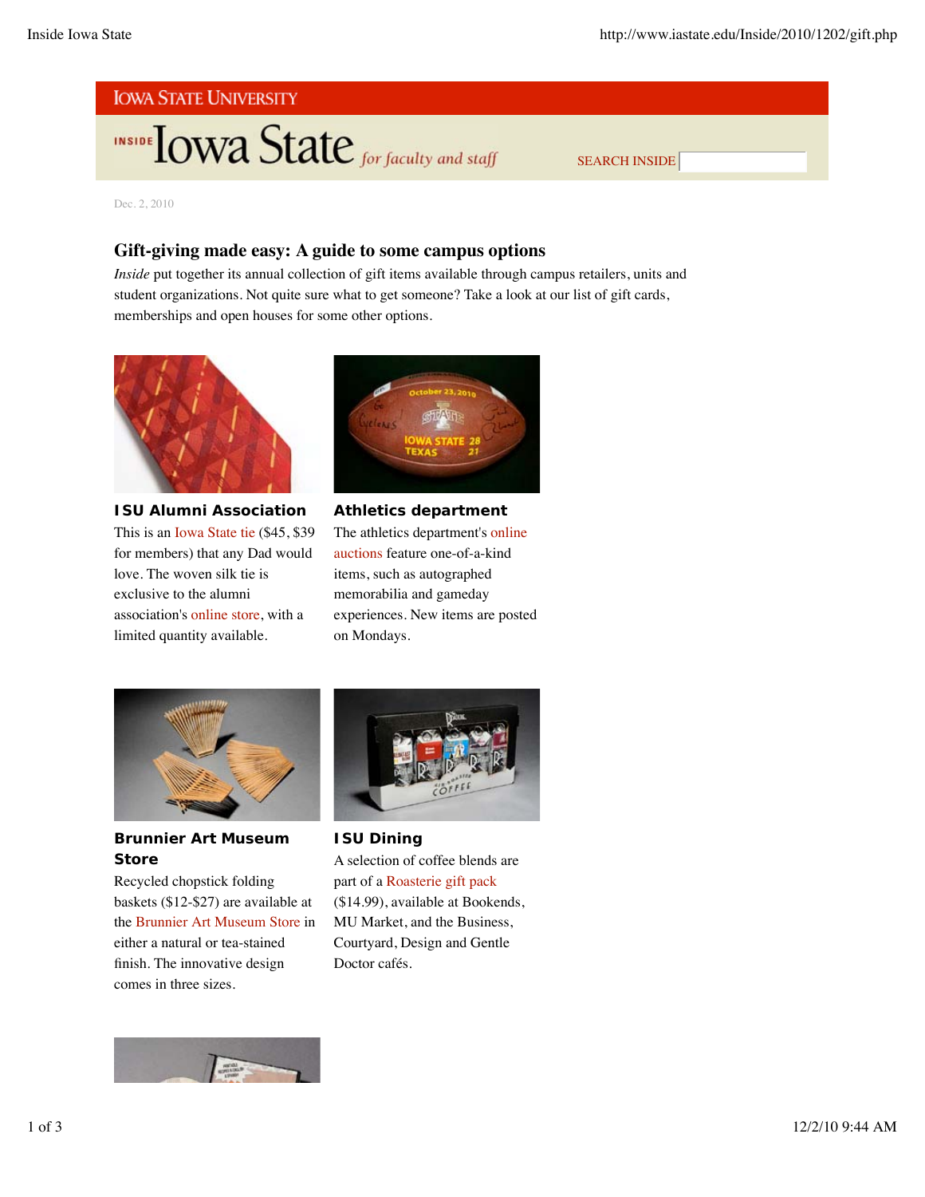# **IOWA STATE UNIVERSITY**

**INSIDE TOWA State** for faculty and staff

SEARCH INSIDE

Dec. 2, 2010

## **Gift-giving made easy: A guide to some campus options**

*Inside* put together its annual collection of gift items available through campus retailers, units and student organizations. Not quite sure what to get someone? Take a look at our list of gift cards, memberships and open houses for some other options.



**ISU Alumni Association** This is an Iowa State tie (\$45, \$39 for members) that any Dad would love. The woven silk tie is exclusive to the alumni association's online store, with a limited quantity available.



**Athletics department** The athletics department's online auctions feature one-of-a-kind items, such as autographed memorabilia and gameday experiences. New items are posted on Mondays.



**Brunnier Art Museum Store**

Recycled chopstick folding baskets (\$12-\$27) are available at the Brunnier Art Museum Store in either a natural or tea-stained finish. The innovative design comes in three sizes.



**ISU Dining** A selection of coffee blends are part of a Roasterie gift pack (\$14.99), available at Bookends, MU Market, and the Business, Courtyard, Design and Gentle Doctor cafés.

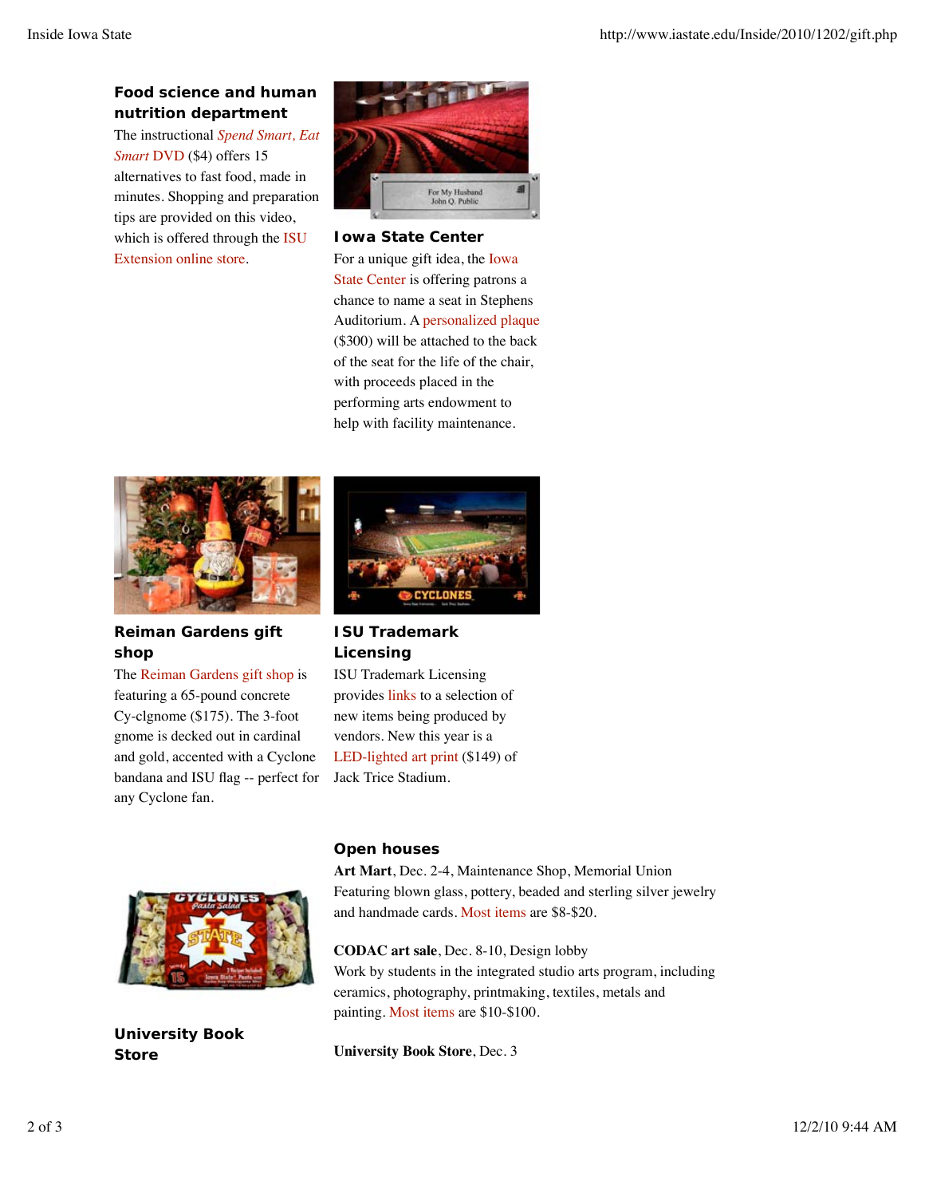## **Food science and human nutrition department**

The instructional *Spend Smart, Eat Smart* DVD (\$4) offers 15 alternatives to fast food, made in minutes. Shopping and preparation tips are provided on this video, which is offered through the ISU Extension online store.



#### **Iowa State Center**

For a unique gift idea, the Iowa State Center is offering patrons a chance to name a seat in Stephens Auditorium. A personalized plaque (\$300) will be attached to the back of the seat for the life of the chair, with proceeds placed in the performing arts endowment to help with facility maintenance.

![](_page_3_Picture_7.jpeg)

**Reiman Gardens gift shop**

The Reiman Gardens gift shop is featuring a 65-pound concrete Cy-clgnome (\$175). The 3-foot gnome is decked out in cardinal and gold, accented with a Cyclone bandana and ISU flag -- perfect for any Cyclone fan.

![](_page_3_Picture_10.jpeg)

## **ISU Trademark Licensing**

ISU Trademark Licensing provides links to a selection of new items being produced by vendors. New this year is a LED-lighted art print (\$149) of Jack Trice Stadium.

![](_page_3_Picture_13.jpeg)

**University Book Store**

## **Open houses**

**Art Mart**, Dec. 2-4, Maintenance Shop, Memorial Union Featuring blown glass, pottery, beaded and sterling silver jewelry and handmade cards. Most items are \$8-\$20.

**CODAC art sale**, Dec. 8-10, Design lobby Work by students in the integrated studio arts program, including ceramics, photography, printmaking, textiles, metals and painting. Most items are \$10-\$100.

**University Book Store**, Dec. 3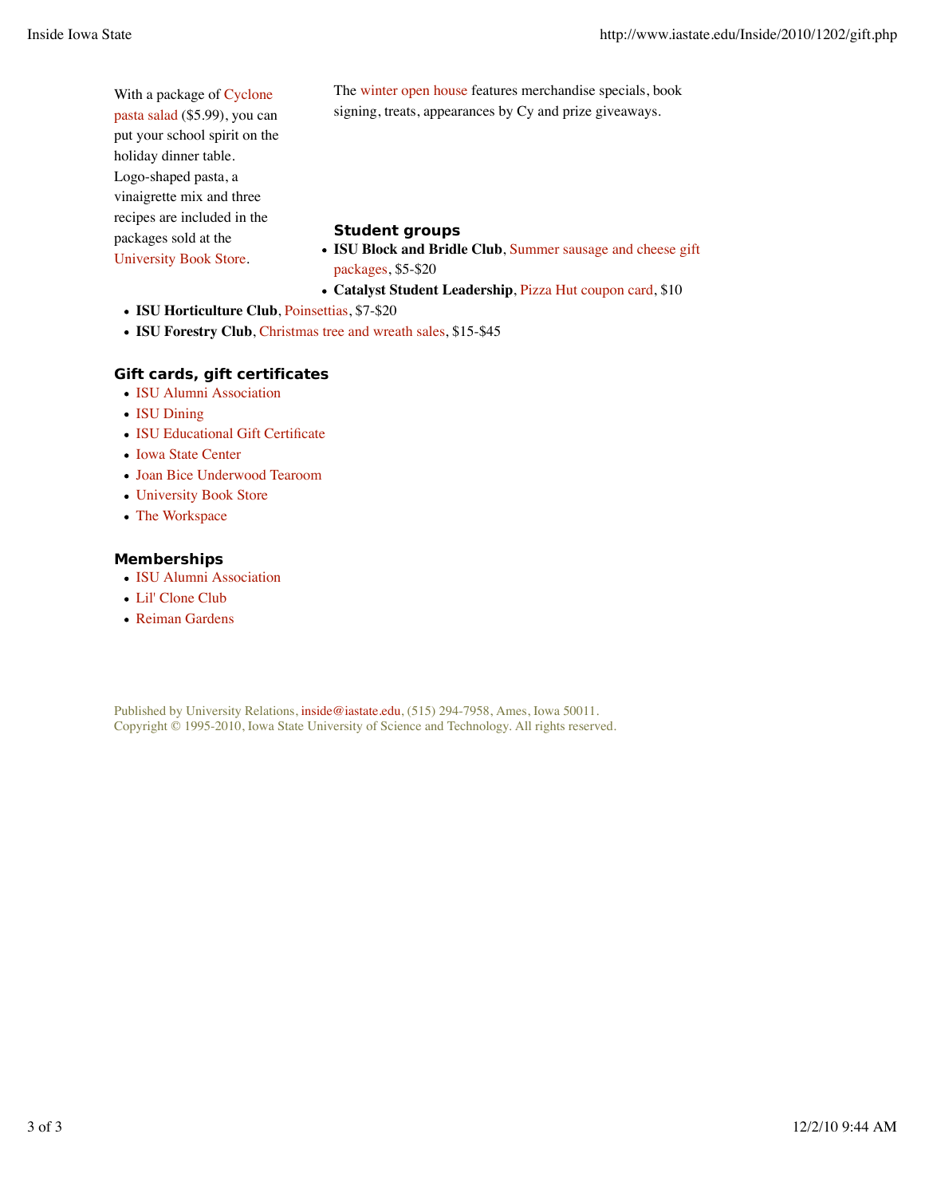| With a package of Cyclone     | The winter open house features merchandise specials, book                                                  |
|-------------------------------|------------------------------------------------------------------------------------------------------------|
| pasta salad (\$5.99), you can | signing, treats, appearances by Cy and prize give aways.                                                   |
| put your school spirit on the |                                                                                                            |
| holiday dinner table.         |                                                                                                            |
| Logo-shaped pasta, a          |                                                                                                            |
| vinaigrette mix and three     |                                                                                                            |
| recipes are included in the   | <b>Student groups</b><br>• ISU Block and Bridle Club, Summer sausage and cheese gift<br>packages, \$5-\$20 |
| packages sold at the          |                                                                                                            |
| University Book Store.        |                                                                                                            |

- **Catalyst Student Leadership**, Pizza Hut coupon card, \$10
- **ISU Horticulture Club**, Poinsettias, \$7-\$20
- **ISU Forestry Club**, Christmas tree and wreath sales, \$15-\$45

#### **Gift cards, gift certificates**

- ISU Alumni Association
- ISU Dining
- ISU Educational Gift Certificate
- Iowa State Center
- Joan Bice Underwood Tearoom
- University Book Store
- The Workspace

#### **Memberships**

- ISU Alumni Association
- Lil' Clone Club
- Reiman Gardens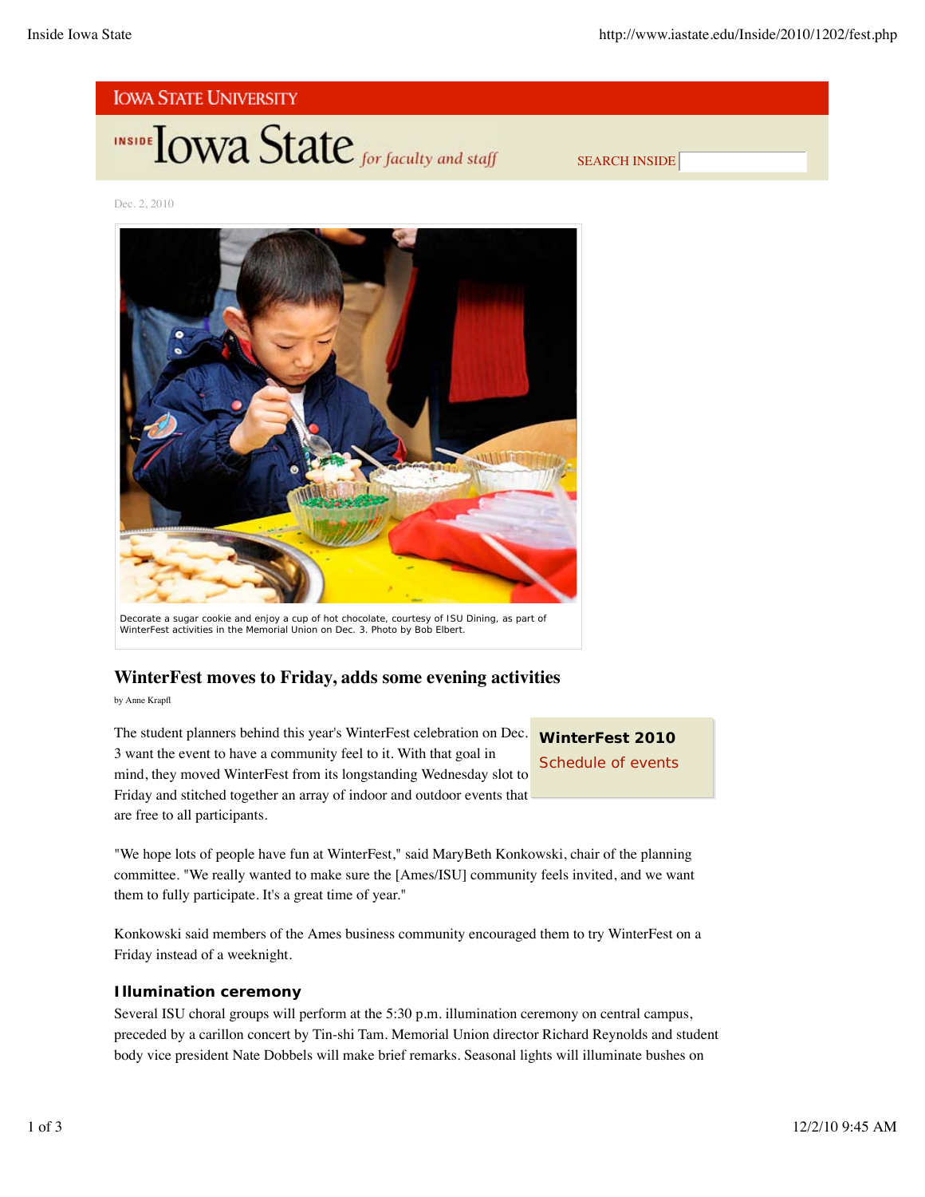![](_page_5_Picture_2.jpeg)

![](_page_5_Picture_3.jpeg)

SEARCH INSIDE

Dec. 2, 2010

![](_page_5_Picture_6.jpeg)

WinterFest activities in the Memorial Union on Dec. 3. *Photo by Bob Elbert.*

## **WinterFest moves to Friday, adds some evening activities**

by Anne Krapfl

The student planners behind this year's WinterFest celebration on Dec. 3 want the event to have a community feel to it. With that goal in mind, they moved WinterFest from its longstanding Wednesday slot to Friday and stitched together an array of indoor and outdoor events that are free to all participants.

**WinterFest 2010** Schedule of events

"We hope lots of people have fun at WinterFest," said MaryBeth Konkowski, chair of the planning committee. "We really wanted to make sure the [Ames/ISU] community feels invited, and we want them to fully participate. It's a great time of year."

Konkowski said members of the Ames business community encouraged them to try WinterFest on a Friday instead of a weeknight.

#### **Illumination ceremony**

Several ISU choral groups will perform at the 5:30 p.m. illumination ceremony on central campus, preceded by a carillon concert by Tin-shi Tam. Memorial Union director Richard Reynolds and student body vice president Nate Dobbels will make brief remarks. Seasonal lights will illuminate bushes on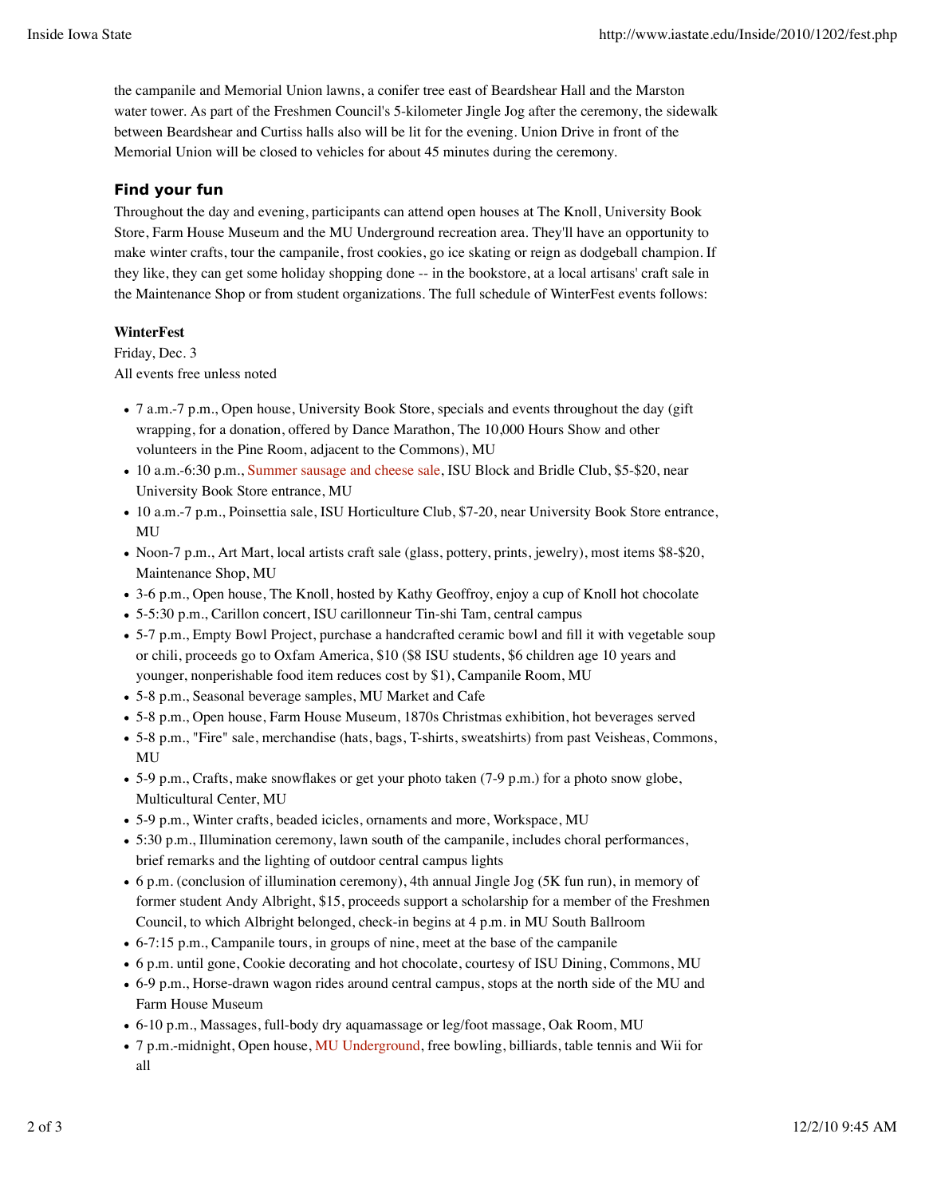the campanile and Memorial Union lawns, a conifer tree east of Beardshear Hall and the Marston water tower. As part of the Freshmen Council's 5-kilometer Jingle Jog after the ceremony, the sidewalk between Beardshear and Curtiss halls also will be lit for the evening. Union Drive in front of the Memorial Union will be closed to vehicles for about 45 minutes during the ceremony.

### **Find your fun**

Throughout the day and evening, participants can attend open houses at The Knoll, University Book Store, Farm House Museum and the MU Underground recreation area. They'll have an opportunity to make winter crafts, tour the campanile, frost cookies, go ice skating or reign as dodgeball champion. If they like, they can get some holiday shopping done -- in the bookstore, at a local artisans' craft sale in the Maintenance Shop or from student organizations. The full schedule of WinterFest events follows:

#### **WinterFest**

Friday, Dec. 3 All events free unless noted

- 7 a.m.-7 p.m., Open house, University Book Store, specials and events throughout the day (gift wrapping, for a donation, offered by Dance Marathon, The 10,000 Hours Show and other volunteers in the Pine Room, adjacent to the Commons), MU
- 10 a.m.-6:30 p.m., Summer sausage and cheese sale, ISU Block and Bridle Club, \$5-\$20, near University Book Store entrance, MU
- 10 a.m.-7 p.m., Poinsettia sale, ISU Horticulture Club, \$7-20, near University Book Store entrance, MU
- Noon-7 p.m., Art Mart, local artists craft sale (glass, pottery, prints, jewelry), most items \$8-\$20, Maintenance Shop, MU
- 3-6 p.m., Open house, The Knoll, hosted by Kathy Geoffroy, enjoy a cup of Knoll hot chocolate
- 5-5:30 p.m., Carillon concert, ISU carillonneur Tin-shi Tam, central campus
- 5-7 p.m., Empty Bowl Project, purchase a handcrafted ceramic bowl and fill it with vegetable soup or chili, proceeds go to Oxfam America, \$10 (\$8 ISU students, \$6 children age 10 years and younger, nonperishable food item reduces cost by \$1), Campanile Room, MU
- 5-8 p.m., Seasonal beverage samples, MU Market and Cafe
- 5-8 p.m., Open house, Farm House Museum, 1870s Christmas exhibition, hot beverages served
- 5-8 p.m., "Fire" sale, merchandise (hats, bags, T-shirts, sweatshirts) from past Veisheas, Commons, MU
- 5-9 p.m., Crafts, make snowflakes or get your photo taken (7-9 p.m.) for a photo snow globe, Multicultural Center, MU
- 5-9 p.m., Winter crafts, beaded icicles, ornaments and more, Workspace, MU
- 5:30 p.m., Illumination ceremony, lawn south of the campanile, includes choral performances, brief remarks and the lighting of outdoor central campus lights
- 6 p.m. (conclusion of illumination ceremony), 4th annual Jingle Jog (5K fun run), in memory of former student Andy Albright, \$15, proceeds support a scholarship for a member of the Freshmen Council, to which Albright belonged, check-in begins at 4 p.m. in MU South Ballroom
- 6-7:15 p.m., Campanile tours, in groups of nine, meet at the base of the campanile
- 6 p.m. until gone, Cookie decorating and hot chocolate, courtesy of ISU Dining, Commons, MU
- 6-9 p.m., Horse-drawn wagon rides around central campus, stops at the north side of the MU and Farm House Museum
- 6-10 p.m., Massages, full-body dry aquamassage or leg/foot massage, Oak Room, MU
- 7 p.m.-midnight, Open house, MU Underground, free bowling, billiards, table tennis and Wii for all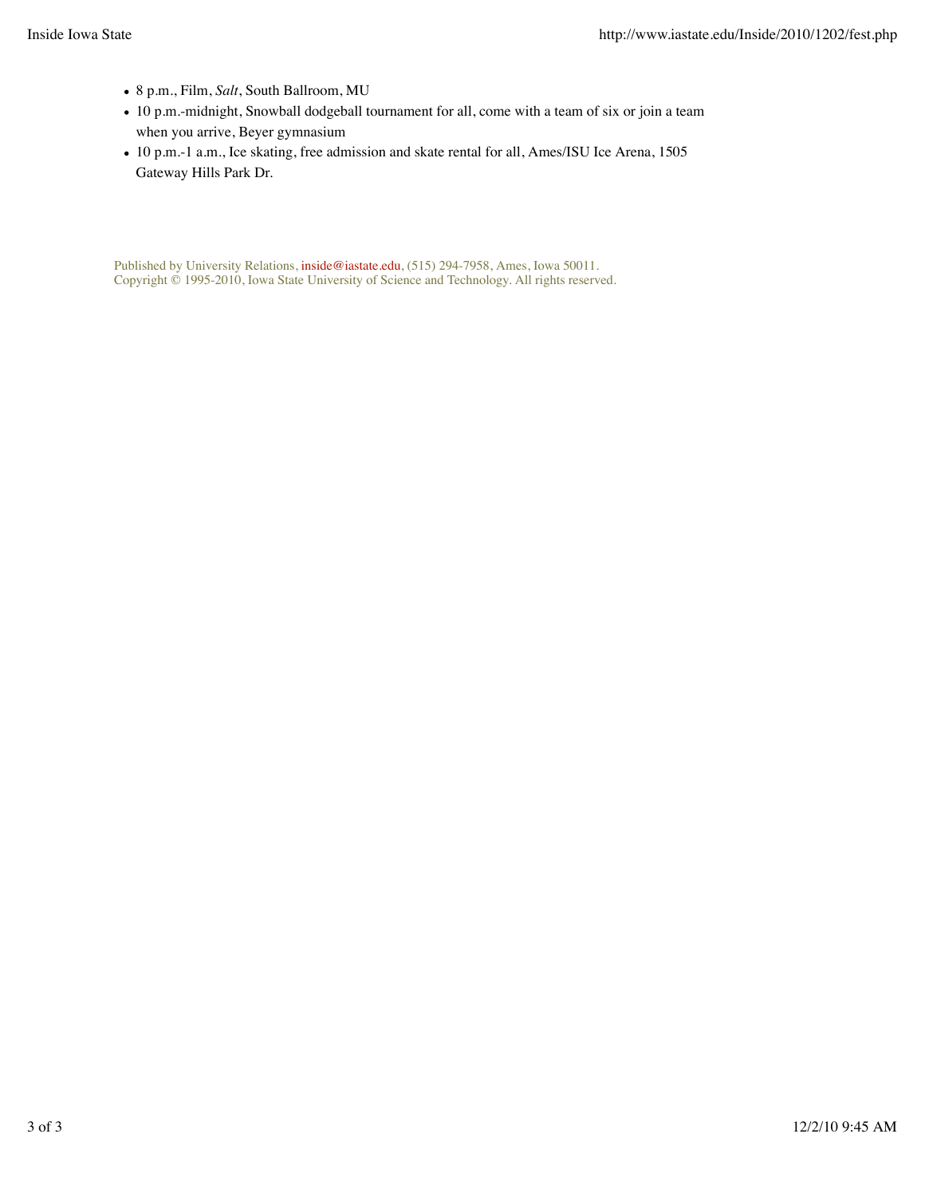- 8 p.m., Film, *Salt*, South Ballroom, MU
- 10 p.m.-midnight, Snowball dodgeball tournament for all, come with a team of six or join a team when you arrive, Beyer gymnasium
- 10 p.m.-1 a.m., Ice skating, free admission and skate rental for all, Ames/ISU Ice Arena, 1505 Gateway Hills Park Dr.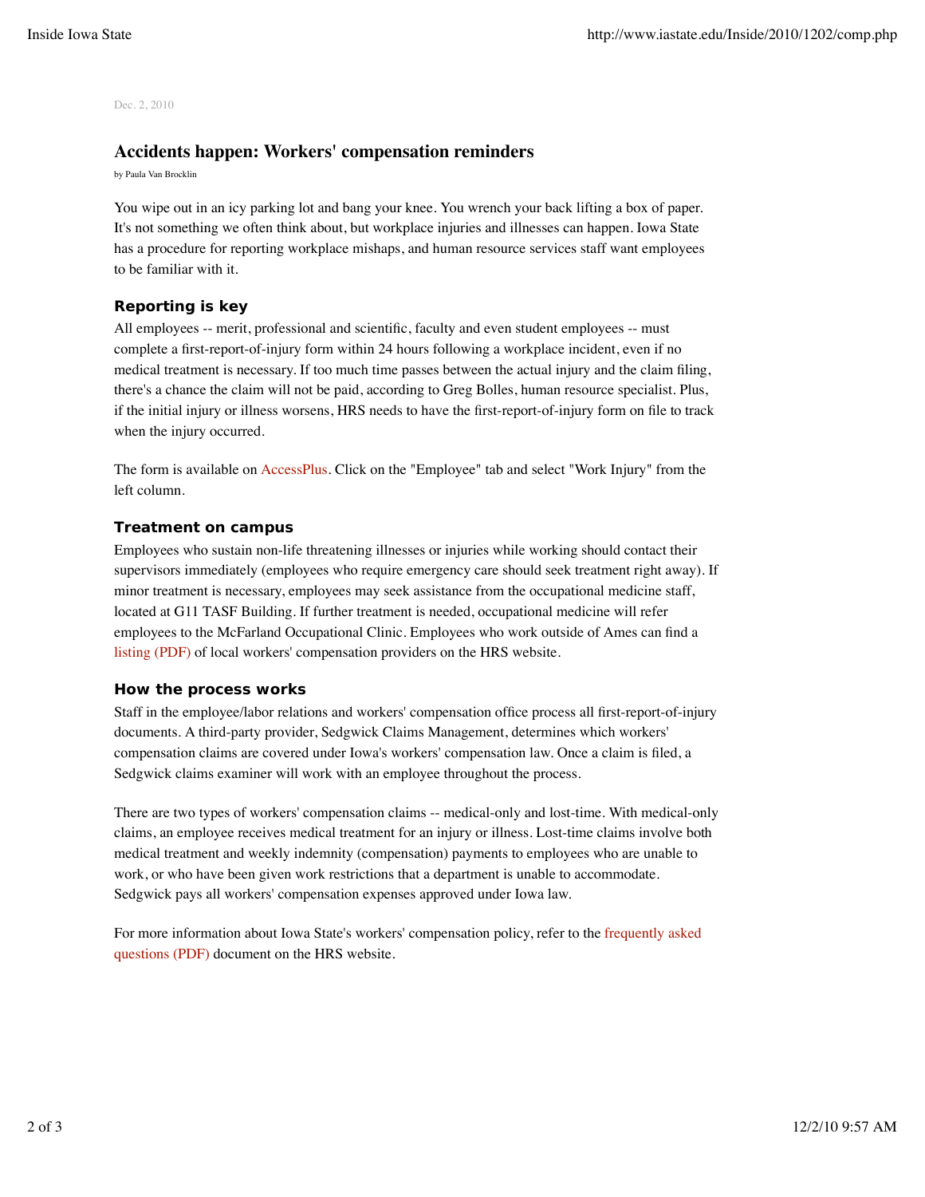Dec. 2, 2010

#### **Accidents happen: Workers' compensation reminders**

by Paula Van Brocklin

You wipe out in an icy parking lot and bang your knee. You wrench your back lifting a box of paper. It's not something we often think about, but workplace injuries and illnesses can happen. Iowa State has a procedure for reporting workplace mishaps, and human resource services staff want employees to be familiar with it.

#### **Reporting is key**

All employees -- merit, professional and scientific, faculty and even student employees -- must complete a first-report-of-injury form within 24 hours following a workplace incident, even if no medical treatment is necessary. If too much time passes between the actual injury and the claim filing, there's a chance the claim will not be paid, according to Greg Bolles, human resource specialist. Plus, if the initial injury or illness worsens, HRS needs to have the first-report-of-injury form on file to track when the injury occurred.

The form is available on AccessPlus. Click on the "Employee" tab and select "Work Injury" from the left column.

#### **Treatment on campus**

Employees who sustain non-life threatening illnesses or injuries while working should contact their supervisors immediately (employees who require emergency care should seek treatment right away). If minor treatment is necessary, employees may seek assistance from the occupational medicine staff, located at G11 TASF Building. If further treatment is needed, occupational medicine will refer employees to the McFarland Occupational Clinic. Employees who work outside of Ames can find a listing (PDF) of local workers' compensation providers on the HRS website.

#### **How the process works**

Staff in the employee/labor relations and workers' compensation office process all first-report-of-injury documents. A third-party provider, Sedgwick Claims Management, determines which workers' compensation claims are covered under Iowa's workers' compensation law. Once a claim is filed, a Sedgwick claims examiner will work with an employee throughout the process.

There are two types of workers' compensation claims -- medical-only and lost-time. With medical-only claims, an employee receives medical treatment for an injury or illness. Lost-time claims involve both medical treatment and weekly indemnity (compensation) payments to employees who are unable to work, or who have been given work restrictions that a department is unable to accommodate. Sedgwick pays all workers' compensation expenses approved under Iowa law.

For more information about Iowa State's workers' compensation policy, refer to the frequently asked questions (PDF) document on the HRS website.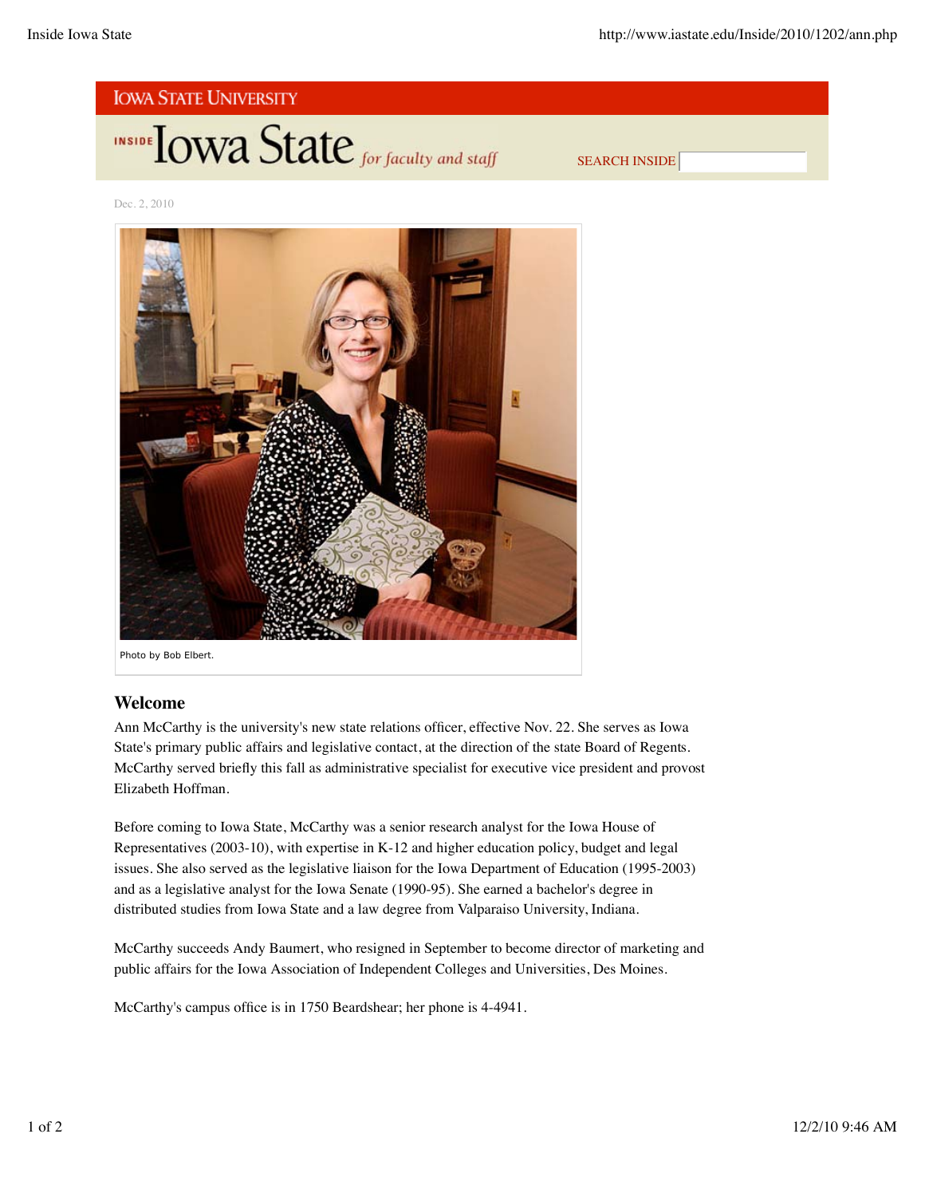![](_page_9_Picture_2.jpeg)

**INSIDE TOWA State** for faculty and staff

SEARCH INSIDE

Dec. 2, 2010

![](_page_9_Picture_6.jpeg)

## **Welcome**

Ann McCarthy is the university's new state relations officer, effective Nov. 22. She serves as Iowa State's primary public affairs and legislative contact, at the direction of the state Board of Regents. McCarthy served briefly this fall as administrative specialist for executive vice president and provost Elizabeth Hoffman.

Before coming to Iowa State, McCarthy was a senior research analyst for the Iowa House of Representatives (2003-10), with expertise in K-12 and higher education policy, budget and legal issues. She also served as the legislative liaison for the Iowa Department of Education (1995-2003) and as a legislative analyst for the Iowa Senate (1990-95). She earned a bachelor's degree in distributed studies from Iowa State and a law degree from Valparaiso University, Indiana.

McCarthy succeeds Andy Baumert, who resigned in September to become director of marketing and public affairs for the Iowa Association of Independent Colleges and Universities, Des Moines.

McCarthy's campus office is in 1750 Beardshear; her phone is 4-4941.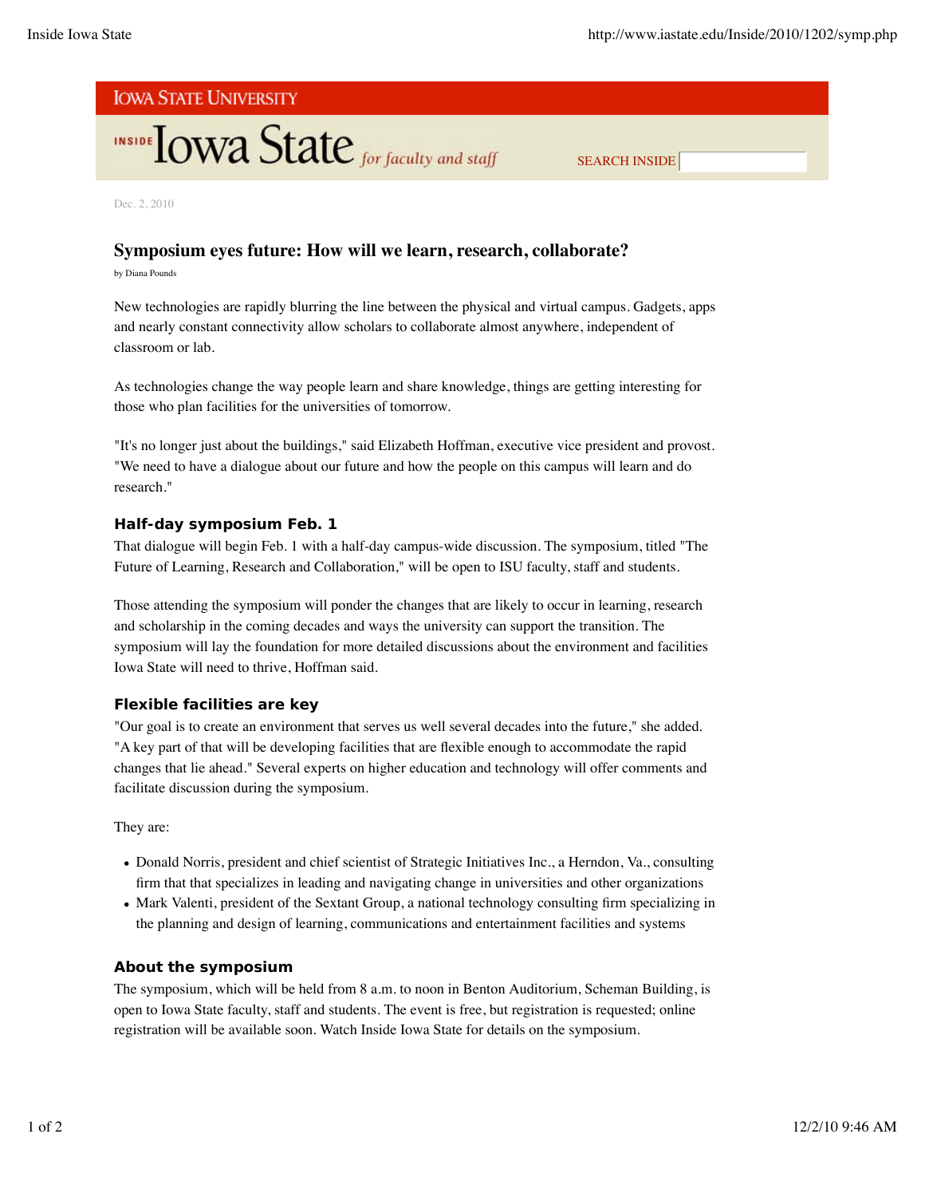# **IOWA STATE UNIVERSITY**

# **INSIDE TOWA State** for faculty and staff

SEARCH INSIDE

Dec. 2, 2010

## **Symposium eyes future: How will we learn, research, collaborate?**

by Diana Pounds

New technologies are rapidly blurring the line between the physical and virtual campus. Gadgets, apps and nearly constant connectivity allow scholars to collaborate almost anywhere, independent of classroom or lab.

As technologies change the way people learn and share knowledge, things are getting interesting for those who plan facilities for the universities of tomorrow.

"It's no longer just about the buildings," said Elizabeth Hoffman, executive vice president and provost. "We need to have a dialogue about our future and how the people on this campus will learn and do research."

#### **Half-day symposium Feb. 1**

That dialogue will begin Feb. 1 with a half-day campus-wide discussion. The symposium, titled "The Future of Learning, Research and Collaboration," will be open to ISU faculty, staff and students.

Those attending the symposium will ponder the changes that are likely to occur in learning, research and scholarship in the coming decades and ways the university can support the transition. The symposium will lay the foundation for more detailed discussions about the environment and facilities Iowa State will need to thrive, Hoffman said.

## **Flexible facilities are key**

"Our goal is to create an environment that serves us well several decades into the future," she added. "A key part of that will be developing facilities that are flexible enough to accommodate the rapid changes that lie ahead." Several experts on higher education and technology will offer comments and facilitate discussion during the symposium.

They are:

- Donald Norris, president and chief scientist of Strategic Initiatives Inc., a Herndon, Va., consulting firm that that specializes in leading and navigating change in universities and other organizations
- Mark Valenti, president of the Sextant Group, a national technology consulting firm specializing in the planning and design of learning, communications and entertainment facilities and systems

## **About the symposium**

The symposium, which will be held from 8 a.m. to noon in Benton Auditorium, Scheman Building, is open to Iowa State faculty, staff and students. The event is free, but registration is requested; online registration will be available soon. Watch Inside Iowa State for details on the symposium.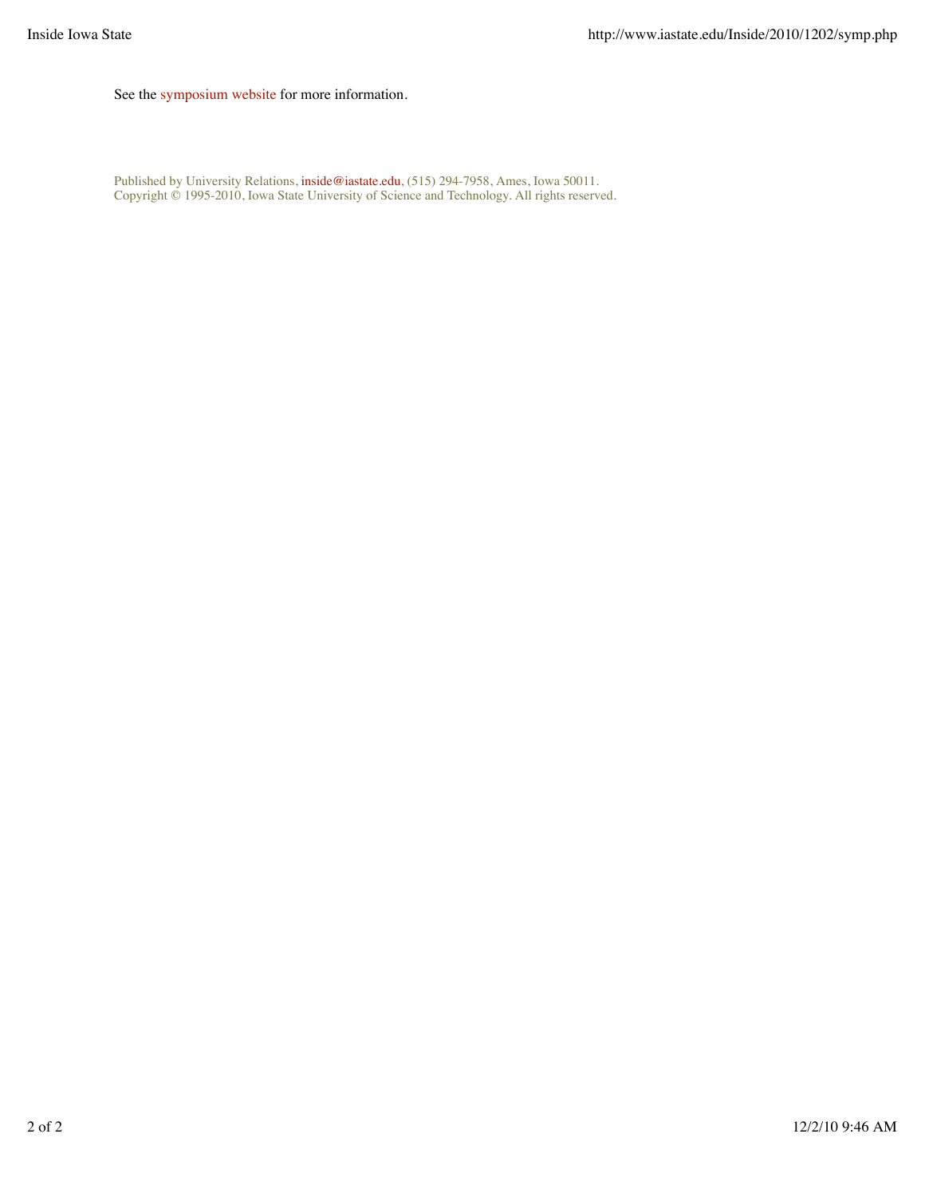See the symposium website for more information.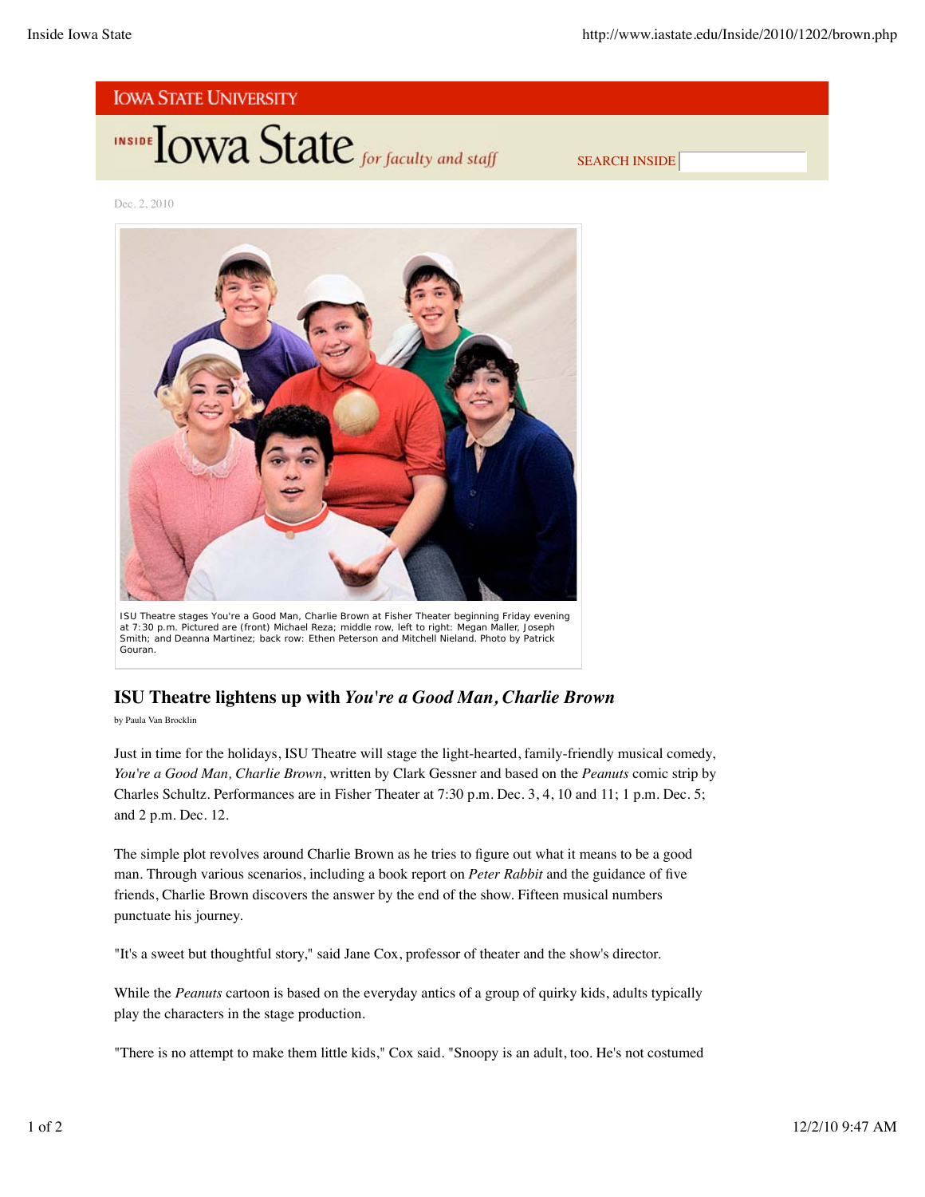![](_page_12_Picture_2.jpeg)

SEARCH INSIDE

Dec. 2, 2010

![](_page_12_Picture_5.jpeg)

ISU Theatre stages *You're a Good Man, Charlie Brown* at Fisher Theater beginning Friday evening at 7:30 p.m. Pictured are (front) Michael Reza; middle row, left to right: Megan Maller, Joseph Smith; and Deanna Martinez; back row: Ethen Peterson and Mitchell Nieland. *Photo by Patrick Gouran*.

# **ISU Theatre lightens up with** *You're a Good Man, Charlie Brown*

by Paula Van Brocklin

Just in time for the holidays, ISU Theatre will stage the light-hearted, family-friendly musical comedy, *You're a Good Man, Charlie Brown*, written by Clark Gessner and based on the *Peanuts* comic strip by Charles Schultz. Performances are in Fisher Theater at 7:30 p.m. Dec. 3, 4, 10 and 11; 1 p.m. Dec. 5; and 2 p.m. Dec. 12.

The simple plot revolves around Charlie Brown as he tries to figure out what it means to be a good man. Through various scenarios, including a book report on *Peter Rabbit* and the guidance of five friends, Charlie Brown discovers the answer by the end of the show. Fifteen musical numbers punctuate his journey.

"It's a sweet but thoughtful story," said Jane Cox, professor of theater and the show's director.

While the *Peanuts* cartoon is based on the everyday antics of a group of quirky kids, adults typically play the characters in the stage production.

"There is no attempt to make them little kids," Cox said. "Snoopy is an adult, too. He's not costumed